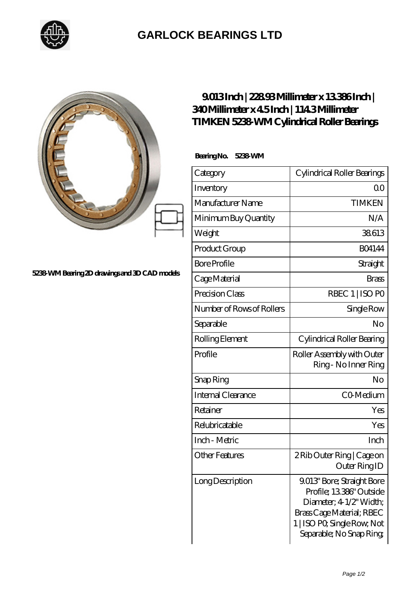

## **[GARLOCK BEARINGS LTD](https://m.letterstopriests.com)**

| 5238 WM Bearing 2D drawings and 3D CAD models | 9013Inch   22893Millimeter x 13386Inch  <br>340Millimeter x 45Inch   1143Millimeter<br><b>TIMKEN 5238 WM Cylindrical Roller Bearings</b><br>BearingNo.<br>5238 WM |                             |
|-----------------------------------------------|-------------------------------------------------------------------------------------------------------------------------------------------------------------------|-----------------------------|
|                                               | Category                                                                                                                                                          | Cylindrical Roller Bearings |
|                                               | Inventory                                                                                                                                                         | $\Omega$ <sup>O</sup>       |
|                                               | Manufacturer Name                                                                                                                                                 | <b>TIMKEN</b>               |
|                                               | Minimum Buy Quantity                                                                                                                                              | N/A                         |
|                                               | Weight                                                                                                                                                            | 38613                       |
|                                               | Product Group                                                                                                                                                     | <b>BO4144</b>               |
|                                               | <b>Bore Profile</b>                                                                                                                                               | Straight                    |
|                                               | Cage Material                                                                                                                                                     | <b>Brass</b>                |
|                                               | Precision Class                                                                                                                                                   | RBEC 1   ISO PO             |
|                                               | Number of Rows of Rollers                                                                                                                                         | Single Row                  |
|                                               |                                                                                                                                                                   |                             |

## Page 1/2

Outer Ring ID

Profile; 13.386" Outside Diameter; 4-1/2" Width; Brass Cage Material; RBEC 1 | ISO P0; Single Row; Not Separable; No Snap Ring;

Ring - No Inner Ring

Separable No

Rolling Element Cylindrical Roller Bearing

Profile Roller Assembly with Outer

Snap Ring No

Internal Clearance The CO-Medium

Retainer Yes

Relubricatable Yes

Inch - Metric **Inch** 

Other Features 2 Rib Outer Ring | Cage on

Long Description 19.013' Bore; Straight Bore